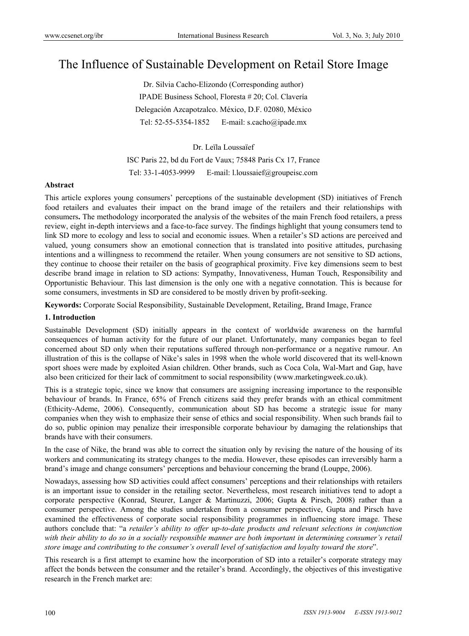# The Influence of Sustainable Development on Retail Store Image

Dr. Silvia Cacho-Elizondo (Corresponding author) IPADE Business School, Floresta # 20; Col. Clavería Delegación Azcapotzalco. México, D.F. 02080, México Tel: 52-55-5354-1852 E-mail: s.cacho@ipade.mx

Dr. Leïla Loussaïef

ISC Paris 22, bd du Fort de Vaux; 75848 Paris Cx 17, France Tel: 33-1-4053-9999 E-mail: l.loussaief@groupeisc.com

#### **Abstract**

This article explores young consumers' perceptions of the sustainable development (SD) initiatives of French food retailers and evaluates their impact on the brand image of the retailers and their relationships with consumers**.** The methodology incorporated the analysis of the websites of the main French food retailers, a press review, eight in-depth interviews and a face-to-face survey. The findings highlight that young consumers tend to link SD more to ecology and less to social and economic issues. When a retailer's SD actions are perceived and valued, young consumers show an emotional connection that is translated into positive attitudes, purchasing intentions and a willingness to recommend the retailer. When young consumers are not sensitive to SD actions, they continue to choose their retailer on the basis of geographical proximity. Five key dimensions seem to best describe brand image in relation to SD actions: Sympathy, Innovativeness, Human Touch, Responsibility and Opportunistic Behaviour. This last dimension is the only one with a negative connotation. This is because for some consumers, investments in SD are considered to be mostly driven by profit-seeking.

**Keywords:** Corporate Social Responsibility, Sustainable Development, Retailing, Brand Image, France

#### **1. Introduction**

Sustainable Development (SD) initially appears in the context of worldwide awareness on the harmful consequences of human activity for the future of our planet. Unfortunately, many companies began to feel concerned about SD only when their reputations suffered through non-performance or a negative rumour. An illustration of this is the collapse of Nike's sales in 1998 when the whole world discovered that its well-known sport shoes were made by exploited Asian children. Other brands, such as Coca Cola, Wal-Mart and Gap, have also been criticized for their lack of commitment to social responsibility (www.marketingweek.co.uk).

This is a strategic topic, since we know that consumers are assigning increasing importance to the responsible behaviour of brands. In France, 65% of French citizens said they prefer brands with an ethical commitment (Ethicity-Ademe, 2006). Consequently, communication about SD has become a strategic issue for many companies when they wish to emphasize their sense of ethics and social responsibility. When such brands fail to do so, public opinion may penalize their irresponsible corporate behaviour by damaging the relationships that brands have with their consumers.

In the case of Nike, the brand was able to correct the situation only by revising the nature of the housing of its workers and communicating its strategy changes to the media. However, these episodes can irreversibly harm a brand's image and change consumers' perceptions and behaviour concerning the brand (Louppe, 2006).

Nowadays, assessing how SD activities could affect consumers' perceptions and their relationships with retailers is an important issue to consider in the retailing sector. Nevertheless, most research initiatives tend to adopt a corporate perspective (Konrad, Steurer, Langer & Martinuzzi, 2006; Gupta & Pirsch, 2008) rather than a consumer perspective. Among the studies undertaken from a consumer perspective, Gupta and Pirsch have examined the effectiveness of corporate social responsibility programmes in influencing store image. These authors conclude that: "a *retailer's ability to offer up-to-date products and relevant selections in conjunction with their ability to do so in a socially responsible manner are both important in determining consumer's retail store image and contributing to the consumer's overall level of satisfaction and loyalty toward the store*".

This research is a first attempt to examine how the incorporation of SD into a retailer's corporate strategy may affect the bonds between the consumer and the retailer's brand. Accordingly, the objectives of this investigative research in the French market are: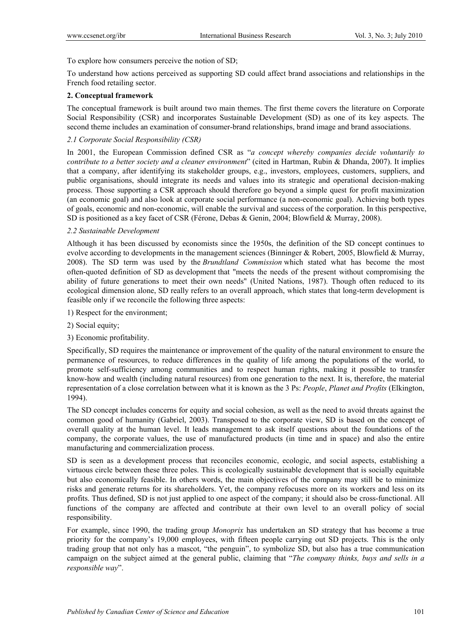To explore how consumers perceive the notion of SD;

To understand how actions perceived as supporting SD could affect brand associations and relationships in the French food retailing sector.

## **2. Conceptual framework**

The conceptual framework is built around two main themes. The first theme covers the literature on Corporate Social Responsibility (CSR) and incorporates Sustainable Development (SD) as one of its key aspects. The second theme includes an examination of consumer-brand relationships, brand image and brand associations.

## *2.1 Corporate Social Responsibility (CSR)*

In 2001, the European Commission defined CSR as "*a concept whereby companies decide voluntarily to contribute to a better society and a cleaner environment*" (cited in Hartman, Rubin & Dhanda, 2007). It implies that a company, after identifying its stakeholder groups, e.g., investors, employees, customers, suppliers, and public organisations, should integrate its needs and values into its strategic and operational decision-making process. Those supporting a CSR approach should therefore go beyond a simple quest for profit maximization (an economic goal) and also look at corporate social performance (a non-economic goal). Achieving both types of goals, economic and non-economic, will enable the survival and success of the corporation. In this perspective, SD is positioned as a key facet of CSR (Férone, Debas & Genin, 2004; Blowfield & Murray, 2008).

*2.2 Sustainable Development* 

Although it has been discussed by economists since the 1950s, the definition of the SD concept continues to evolve according to developments in the management sciences (Binninger & Robert, 2005, Blowfield & Murray, 2008). The SD term was used by the *Brundtland Commission* which stated what has become the most often-quoted definition of SD as development that "meets the needs of the present without compromising the ability of future generations to meet their own needs" (United Nations, 1987). Though often reduced to its ecological dimension alone, SD really refers to an overall approach, which states that long-term development is feasible only if we reconcile the following three aspects:

- 1) Respect for the environment;
- 2) Social equity;
- 3) Economic profitability.

Specifically, SD requires the maintenance or improvement of the quality of the natural environment to ensure the permanence of resources, to reduce differences in the quality of life among the populations of the world, to promote self-sufficiency among communities and to respect human rights, making it possible to transfer know-how and wealth (including natural resources) from one generation to the next. It is, therefore, the material representation of a close correlation between what it is known as the 3 Ps: *People*, *Planet and Profits* (Elkington, 1994).

The SD concept includes concerns for equity and social cohesion, as well as the need to avoid threats against the common good of humanity (Gabriel, 2003). Transposed to the corporate view, SD is based on the concept of overall quality at the human level. It leads management to ask itself questions about the foundations of the company, the corporate values, the use of manufactured products (in time and in space) and also the entire manufacturing and commercialization process.

SD is seen as a development process that reconciles economic, ecologic, and social aspects, establishing a virtuous circle between these three poles. This is ecologically sustainable development that is socially equitable but also economically feasible. In others words, the main objectives of the company may still be to minimize risks and generate returns for its shareholders. Yet, the company refocuses more on its workers and less on its profits. Thus defined, SD is not just applied to one aspect of the company; it should also be cross-functional. All functions of the company are affected and contribute at their own level to an overall policy of social responsibility.

For example, since 1990, the trading group *Monoprix* has undertaken an SD strategy that has become a true priority for the company's 19,000 employees, with fifteen people carrying out SD projects. This is the only trading group that not only has a mascot, "the penguin", to symbolize SD, but also has a true communication campaign on the subject aimed at the general public, claiming that "*The company thinks, buys and sells in a responsible way*".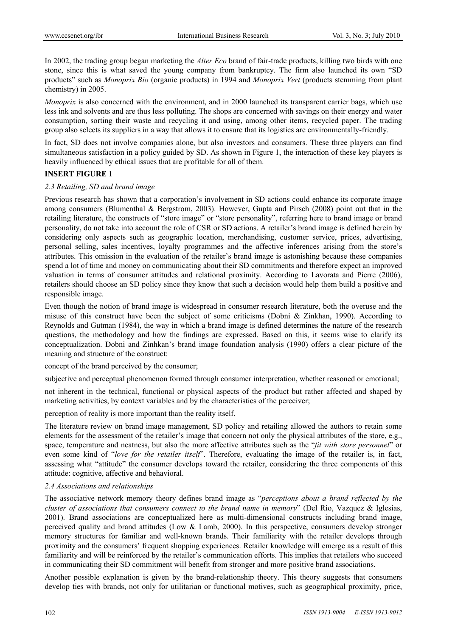In 2002, the trading group began marketing the *Alter Eco* brand of fair-trade products, killing two birds with one stone, since this is what saved the young company from bankruptcy. The firm also launched its own "SD products" such as *Monoprix Bio* (organic products) in 1994 and *Monoprix Vert* (products stemming from plant chemistry) in 2005.

*Monoprix* is also concerned with the environment, and in 2000 launched its transparent carrier bags, which use less ink and solvents and are thus less polluting. The shops are concerned with savings on their energy and water consumption, sorting their waste and recycling it and using, among other items, recycled paper. The trading group also selects its suppliers in a way that allows it to ensure that its logistics are environmentally-friendly.

In fact, SD does not involve companies alone, but also investors and consumers. These three players can find simultaneous satisfaction in a policy guided by SD. As shown in Figure 1, the interaction of these key players is heavily influenced by ethical issues that are profitable for all of them.

#### **INSERT FIGURE 1**

## *2.3 Retailing, SD and brand image*

Previous research has shown that a corporation's involvement in SD actions could enhance its corporate image among consumers (Blumenthal & Bergstrom, 2003). However, Gupta and Pirsch (2008) point out that in the retailing literature, the constructs of "store image" or "store personality", referring here to brand image or brand personality, do not take into account the role of CSR or SD actions. A retailer's brand image is defined herein by considering only aspects such as geographic location, merchandising, customer service, prices, advertising, personal selling, sales incentives, loyalty programmes and the affective inferences arising from the store's attributes. This omission in the evaluation of the retailer's brand image is astonishing because these companies spend a lot of time and money on communicating about their SD commitments and therefore expect an improved valuation in terms of consumer attitudes and relational proximity. According to Lavorata and Pierre (2006), retailers should choose an SD policy since they know that such a decision would help them build a positive and responsible image.

Even though the notion of brand image is widespread in consumer research literature, both the overuse and the misuse of this construct have been the subject of some criticisms (Dobni & Zinkhan, 1990). According to Reynolds and Gutman (1984), the way in which a brand image is defined determines the nature of the research questions, the methodology and how the findings are expressed. Based on this, it seems wise to clarify its conceptualization. Dobni and Zinhkan's brand image foundation analysis (1990) offers a clear picture of the meaning and structure of the construct:

concept of the brand perceived by the consumer;

subjective and perceptual phenomenon formed through consumer interpretation, whether reasoned or emotional;

not inherent in the technical, functional or physical aspects of the product but rather affected and shaped by marketing activities, by context variables and by the characteristics of the perceiver;

perception of reality is more important than the reality itself.

The literature review on brand image management, SD policy and retailing allowed the authors to retain some elements for the assessment of the retailer's image that concern not only the physical attributes of the store, e.g., space, temperature and neatness, but also the more affective attributes such as the "*fit with store personnel*" or even some kind of "*love for the retailer itself*". Therefore, evaluating the image of the retailer is, in fact, assessing what "attitude" the consumer develops toward the retailer, considering the three components of this attitude: cognitive, affective and behavioral.

#### *2.4 Associations and relationships*

The associative network memory theory defines brand image as "*perceptions about a brand reflected by the cluster of associations that consumers connect to the brand name in memory*" (Del Rio, Vazquez & Iglesias, 2001). Brand associations are conceptualized here as multi-dimensional constructs including brand image, perceived quality and brand attitudes (Low & Lamb, 2000). In this perspective, consumers develop stronger memory structures for familiar and well-known brands. Their familiarity with the retailer develops through proximity and the consumers' frequent shopping experiences. Retailer knowledge will emerge as a result of this familiarity and will be reinforced by the retailer's communication efforts. This implies that retailers who succeed in communicating their SD commitment will benefit from stronger and more positive brand associations.

Another possible explanation is given by the brand-relationship theory. This theory suggests that consumers develop ties with brands, not only for utilitarian or functional motives, such as geographical proximity, price,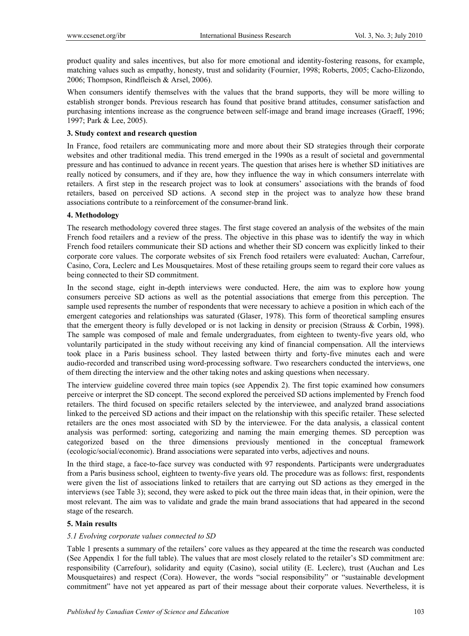product quality and sales incentives, but also for more emotional and identity-fostering reasons, for example, matching values such as empathy, honesty, trust and solidarity (Fournier, 1998; Roberts, 2005; Cacho-Elizondo, 2006; Thompson, Rindfleisch & Arsel, 2006).

When consumers identify themselves with the values that the brand supports, they will be more willing to establish stronger bonds. Previous research has found that positive brand attitudes, consumer satisfaction and purchasing intentions increase as the congruence between self-image and brand image increases (Graeff, 1996; 1997; Park & Lee, 2005).

#### **3. Study context and research question**

In France, food retailers are communicating more and more about their SD strategies through their corporate websites and other traditional media. This trend emerged in the 1990s as a result of societal and governmental pressure and has continued to advance in recent years. The question that arises here is whether SD initiatives are really noticed by consumers, and if they are, how they influence the way in which consumers interrelate with retailers. A first step in the research project was to look at consumers' associations with the brands of food retailers, based on perceived SD actions. A second step in the project was to analyze how these brand associations contribute to a reinforcement of the consumer-brand link.

## **4. Methodology**

The research methodology covered three stages. The first stage covered an analysis of the websites of the main French food retailers and a review of the press. The objective in this phase was to identify the way in which French food retailers communicate their SD actions and whether their SD concern was explicitly linked to their corporate core values. The corporate websites of six French food retailers were evaluated: Auchan, Carrefour, Casino, Cora, Leclerc and Les Mousquetaires. Most of these retailing groups seem to regard their core values as being connected to their SD commitment.

In the second stage, eight in-depth interviews were conducted. Here, the aim was to explore how young consumers perceive SD actions as well as the potential associations that emerge from this perception. The sample used represents the number of respondents that were necessary to achieve a position in which each of the emergent categories and relationships was saturated (Glaser, 1978). This form of theoretical sampling ensures that the emergent theory is fully developed or is not lacking in density or precision (Strauss & Corbin, 1998). The sample was composed of male and female undergraduates, from eighteen to twenty-five years old, who voluntarily participated in the study without receiving any kind of financial compensation. All the interviews took place in a Paris business school. They lasted between thirty and forty-five minutes each and were audio-recorded and transcribed using word-processing software. Two researchers conducted the interviews, one of them directing the interview and the other taking notes and asking questions when necessary.

The interview guideline covered three main topics (see Appendix 2). The first topic examined how consumers perceive or interpret the SD concept. The second explored the perceived SD actions implemented by French food retailers. The third focused on specific retailers selected by the interviewee, and analyzed brand associations linked to the perceived SD actions and their impact on the relationship with this specific retailer. These selected retailers are the ones most associated with SD by the interviewee. For the data analysis, a classical content analysis was performed: sorting, categorizing and naming the main emerging themes. SD perception was categorized based on the three dimensions previously mentioned in the conceptual framework (ecologic/social/economic). Brand associations were separated into verbs, adjectives and nouns.

In the third stage, a face-to-face survey was conducted with 97 respondents. Participants were undergraduates from a Paris business school, eighteen to twenty-five years old. The procedure was as follows: first, respondents were given the list of associations linked to retailers that are carrying out SD actions as they emerged in the interviews (see Table 3); second, they were asked to pick out the three main ideas that, in their opinion, were the most relevant. The aim was to validate and grade the main brand associations that had appeared in the second stage of the research.

## **5. Main results**

#### *5.1 Evolving corporate values connected to SD*

Table 1 presents a summary of the retailers' core values as they appeared at the time the research was conducted (See Appendix 1 for the full table). The values that are most closely related to the retailer's SD commitment are: responsibility (Carrefour), solidarity and equity (Casino), social utility (E. Leclerc), trust (Auchan and Les Mousquetaires) and respect (Cora). However, the words "social responsibility" or "sustainable development commitment" have not yet appeared as part of their message about their corporate values. Nevertheless, it is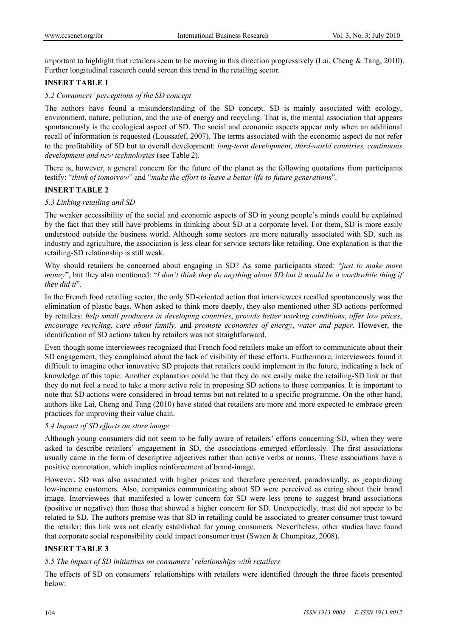important to highlight that retailers seem to be moving in this direction progressively (Lai, Cheng & Tang, 2010). Further longitudinal research could screen this trend in the retailing sector.

## **INSERT TABLE 1**

#### *5.2 Consumers' perceptions of the SD concept*

The authors have found a misunderstanding of the SD concept. SD is mainly associated with ecology, environment, nature, pollution, and the use of energy and recycling. That is, the mental association that appears spontaneously is the ecological aspect of SD. The social and economic aspects appear only when an additional recall of information is requested (Loussaïef, 2007). The terms associated with the economic aspect do not refer to the profitability of SD but to overall development: *long-term development, third-world countries, continuous development and new technologies* (see Table 2).

There is, however, a general concern for the future of the planet as the following quotations from participants testify: "*think of tomorrow*" and "*make the effort to leave a better life to future generations*".

## **INSERT TABLE 2**

## *5.3 Linking retailing and SD*

The weaker accessibility of the social and economic aspects of SD in young people's minds could be explained by the fact that they still have problems in thinking about SD at a corporate level. For them, SD is more easily understood outside the business world. Although some sectors are more naturally associated with SD, such as industry and agriculture, the association is less clear for service sectors like retailing. One explanation is that the retailing-SD relationship is still weak.

Why should retailers be concerned about engaging in SD? As some participants stated: "*just to make more money*", but they also mentioned: "*I don't think they do anything about SD but it would be a worthwhile thing if they did it*".

In the French food retailing sector, the only SD-oriented action that interviewees recalled spontaneously was the elimination of plastic bags. When asked to think more deeply, they also mentioned other SD actions performed by retailers: *help small producers in developing countries*, *provide better working conditions*, *offer low prices*, *encourage recycling*, *care about family,* and *promote economies of energy*, *water and paper*. However, the identification of SD actions taken by retailers was not straightforward.

Even though some interviewees recognized that French food retailers make an effort to communicate about their SD engagement, they complained about the lack of visibility of these efforts. Furthermore, interviewees found it difficult to imagine other innovative SD projects that retailers could implement in the future, indicating a lack of knowledge of this topic. Another explanation could be that they do not easily make the retailing-SD link or that they do not feel a need to take a more active role in proposing SD actions to those companies. It is important to note that SD actions were considered in broad terms but not related to a specific programme. On the other hand, authors like Lai, Cheng and Tang (2010) have stated that retailers are more and more expected to embrace green practices for improving their value chain.

#### *5.4 Impact of SD efforts on store image*

Although young consumers did not seem to be fully aware of retailers' efforts concerning SD, when they were asked to describe retailers' engagement in SD, the associations emerged effortlessly. The first associations usually came in the form of descriptive adjectives rather than active verbs or nouns. These associations have a positive connotation, which implies reinforcement of brand-image.

However, SD was also associated with higher prices and therefore perceived, paradoxically, as jeopardizing low-income customers. Also, companies communicating about SD were perceived as caring about their brand image. Interviewees that manifested a lower concern for SD were less prone to suggest brand associations (positive or negative) than those that showed a higher concern for SD. Unexpectedly, trust did not appear to be related to SD. The authors premise was that SD in retailing could be associated to greater consumer trust toward the retailer; this link was not clearly established for young consumers. Nevertheless, other studies have found that corporate social responsibility could impact consumer trust (Swaen & Chumpitaz, 2008).

#### **INSERT TABLE 3**

#### *5.5 The impact of SD initiatives on consumers' relationships with retailers*

The effects of SD on consumers' relationships with retailers were identified through the three facets presented below: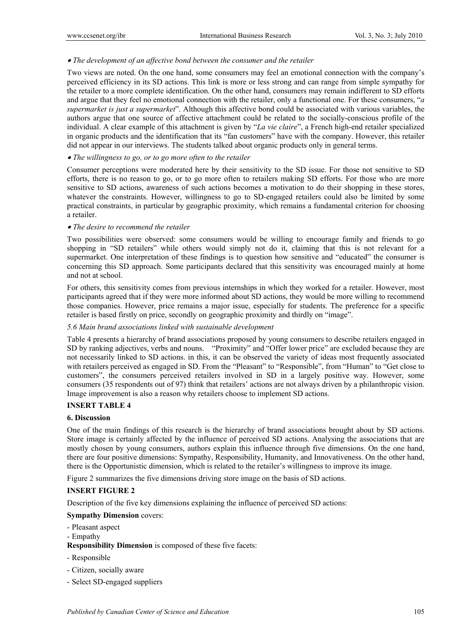## • *The development of an affective bond between the consumer and the retailer*

Two views are noted. On the one hand, some consumers may feel an emotional connection with the company's perceived efficiency in its SD actions. This link is more or less strong and can range from simple sympathy for the retailer to a more complete identification. On the other hand, consumers may remain indifferent to SD efforts and argue that they feel no emotional connection with the retailer, only a functional one. For these consumers, "*a supermarket is just a supermarket*". Although this affective bond could be associated with various variables, the authors argue that one source of affective attachment could be related to the socially-conscious profile of the individual. A clear example of this attachment is given by "*La vie claire*", a French high-end retailer specialized in organic products and the identification that its "fan customers" have with the company. However, this retailer did not appear in our interviews. The students talked about organic products only in general terms.

• *The willingness to go, or to go more often to the retailer*

Consumer perceptions were moderated here by their sensitivity to the SD issue. For those not sensitive to SD efforts, there is no reason to go, or to go more often to retailers making SD efforts. For those who are more sensitive to SD actions, awareness of such actions becomes a motivation to do their shopping in these stores, whatever the constraints. However, willingness to go to SD-engaged retailers could also be limited by some practical constraints, in particular by geographic proximity, which remains a fundamental criterion for choosing a retailer.

#### • *The desire to recommend the retailer*

Two possibilities were observed: some consumers would be willing to encourage family and friends to go shopping in "SD retailers" while others would simply not do it, claiming that this is not relevant for a supermarket. One interpretation of these findings is to question how sensitive and "educated" the consumer is concerning this SD approach. Some participants declared that this sensitivity was encouraged mainly at home and not at school.

For others, this sensitivity comes from previous internships in which they worked for a retailer. However, most participants agreed that if they were more informed about SD actions, they would be more willing to recommend those companies. However, price remains a major issue, especially for students. The preference for a specific retailer is based firstly on price, secondly on geographic proximity and thirdly on "image".

## *5.6 Main brand associations linked with sustainable development*

Table 4 presents a hierarchy of brand associations proposed by young consumers to describe retailers engaged in SD by ranking adjectives, verbs and nouns. "Proximity" and "Offer lower price" are excluded because they are not necessarily linked to SD actions. in this, it can be observed the variety of ideas most frequently associated with retailers perceived as engaged in SD. From the "Pleasant" to "Responsible", from "Human" to "Get close to customers", the consumers perceived retailers involved in SD in a largely positive way. However, some consumers (35 respondents out of 97) think that retailers' actions are not always driven by a philanthropic vision. Image improvement is also a reason why retailers choose to implement SD actions.

#### **INSERT TABLE 4**

#### **6. Discussion**

One of the main findings of this research is the hierarchy of brand associations brought about by SD actions. Store image is certainly affected by the influence of perceived SD actions. Analysing the associations that are mostly chosen by young consumers, authors explain this influence through five dimensions. On the one hand, there are four positive dimensions: Sympathy, Responsibility, Humanity, and Innovativeness. On the other hand, there is the Opportunistic dimension, which is related to the retailer's willingness to improve its image.

Figure 2 summarizes the five dimensions driving store image on the basis of SD actions.

## **INSERT FIGURE 2**

Description of the five key dimensions explaining the influence of perceived SD actions:

**Sympathy Dimension** covers:

- Pleasant aspect
- Empathy

**Responsibility Dimension** is composed of these five facets:

- Responsible
- Citizen, socially aware
- Select SD-engaged suppliers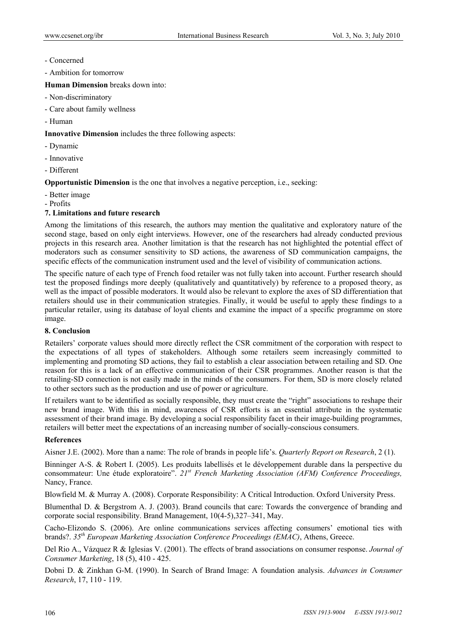- Concerned
- Ambition for tomorrow

**Human Dimension** breaks down into:

- Non-discriminatory
- Care about family wellness
- Human

**Innovative Dimension** includes the three following aspects:

- Dynamic
- Innovative
- Different

**Opportunistic Dimension** is the one that involves a negative perception, i.e., seeking:

- Better image
- Profits

## **7. Limitations and future research**

Among the limitations of this research, the authors may mention the qualitative and exploratory nature of the second stage, based on only eight interviews. However, one of the researchers had already conducted previous projects in this research area. Another limitation is that the research has not highlighted the potential effect of moderators such as consumer sensitivity to SD actions, the awareness of SD communication campaigns, the specific effects of the communication instrument used and the level of visibility of communication actions.

The specific nature of each type of French food retailer was not fully taken into account. Further research should test the proposed findings more deeply (qualitatively and quantitatively) by reference to a proposed theory, as well as the impact of possible moderators. It would also be relevant to explore the axes of SD differentiation that retailers should use in their communication strategies. Finally, it would be useful to apply these findings to a particular retailer, using its database of loyal clients and examine the impact of a specific programme on store image.

#### **8. Conclusion**

Retailers' corporate values should more directly reflect the CSR commitment of the corporation with respect to the expectations of all types of stakeholders. Although some retailers seem increasingly committed to implementing and promoting SD actions, they fail to establish a clear association between retailing and SD. One reason for this is a lack of an effective communication of their CSR programmes. Another reason is that the retailing-SD connection is not easily made in the minds of the consumers. For them, SD is more closely related to other sectors such as the production and use of power or agriculture.

If retailers want to be identified as socially responsible, they must create the "right" associations to reshape their new brand image. With this in mind, awareness of CSR efforts is an essential attribute in the systematic assessment of their brand image. By developing a social responsibility facet in their image-building programmes, retailers will better meet the expectations of an increasing number of socially-conscious consumers.

#### **References**

Aisner J.E. (2002). More than a name: The role of brands in people life's. *Quarterly Report on Research*, 2 (1).

Binninger A-S. & Robert I. (2005). Les produits labellisés et le développement durable dans la perspective du consommateur: Une étude exploratoire". *21st French Marketing Association (AFM) Conference Proceedings,*  Nancy, France.

Blowfield M. & Murray A. (2008). Corporate Responsibility: A Critical Introduction. Oxford University Press.

Blumenthal D. & Bergstrom A. J. (2003). Brand councils that care: Towards the convergence of branding and corporate social responsibility. Brand Management, 10(4-5),327–341, May.

Cacho-Elizondo S. (2006). Are online communications services affecting consumers' emotional ties with brands?. *35th European Marketing Association Conference Proceedings (EMAC)*, Athens, Greece.

Del Rio A., Vázquez R & Iglesias V. (2001). The effects of brand associations on consumer response. *Journal of Consumer Marketing*, 18 (5), 410 - 425.

Dobni D. & Zinkhan G-M. (1990). In Search of Brand Image: A foundation analysis. *Advances in Consumer Research*, 17, 110 - 119.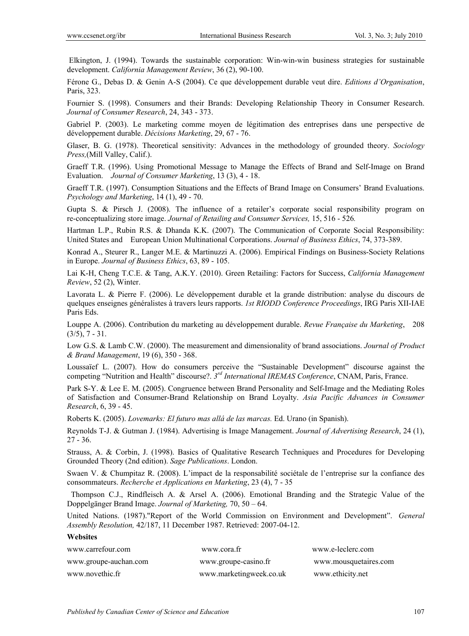Elkington, J. (1994). Towards the sustainable corporation: Win-win-win business strategies for sustainable development. *California Management Review*, 36 (2), 90-100.

Férone G., Debas D. & Genin A-S (2004). Ce que développement durable veut dire. *Editions d'Organisation*, Paris, 323.

Fournier S. (1998). Consumers and their Brands: Developing Relationship Theory in Consumer Research. *Journal of Consumer Research*, 24, 343 - 373.

Gabriel P. (2003). Le marketing comme moyen de légitimation des entreprises dans une perspective de développement durable. *Décisions Marketing*, 29, 67 - 76.

Glaser, B. G. (1978). Theoretical sensitivity: Advances in the methodology of grounded theory. *Sociology Press,*(Mill Valley, Calif.).

Graeff T.R. (1996). Using Promotional Message to Manage the Effects of Brand and Self-Image on Brand Evaluation. *Journal of Consumer Marketing*, 13 (3), 4 - 18.

Graeff T.R. (1997). Consumption Situations and the Effects of Brand Image on Consumers' Brand Evaluations. *Psychology and Marketing*, 14 (1), 49 - 70.

Gupta S. & Pirsch J. (2008). The influence of a retailer's corporate social responsibility program on re-conceptualizing store image. *Journal of Retailing and Consumer Services,* 15, 516 - 526*.*

Hartman L.P., Rubin R.S. & Dhanda K.K. (2007). The Communication of Corporate Social Responsibility: United States and European Union Multinational Corporations. *Journal of Business Ethics*, 74, 373-389.

Konrad A., Steurer R., Langer M.E. & Martinuzzi A. (2006). Empirical Findings on Business-Society Relations in Europe. *Journal of Business Ethics*, 63, 89 - 105.

Lai K-H, Cheng T.C.E. & Tang, A.K.Y. (2010). Green Retailing: Factors for Success, *California Management Review*, 52 (2), Winter.

Lavorata L. & Pierre F. (2006). Le développement durable et la grande distribution: analyse du discours de quelques enseignes généralistes à travers leurs rapports. *1st RIODD Conference Proceedings*, IRG Paris XII-IAE Paris Eds.

Louppe A. (2006). Contribution du marketing au développement durable. *Revue Française du Marketing*, 208  $(3/5)$ , 7 - 31.

Low G.S. & Lamb C.W. (2000). The measurement and dimensionality of brand associations. *Journal of Product & Brand Management*, 19 (6), 350 - 368.

Loussaïef L. (2007). How do consumers perceive the "Sustainable Development" discourse against the competing "Nutrition and Health" discourse?. *3rd International IREMAS Conference*, CNAM, Paris, France.

Park S-Y. & Lee E. M. (2005). Congruence between Brand Personality and Self-Image and the Mediating Roles of Satisfaction and Consumer-Brand Relationship on Brand Loyalty. *Asia Pacific Advances in Consumer Research*, 6, 39 - 45.

Roberts K. (2005). *Lovemarks: El futuro mas allá de las marcas.* Ed. Urano (in Spanish).

Reynolds T-J. & Gutman J. (1984). Advertising is Image Management. *Journal of Advertising Research*, 24 (1), 27 - 36.

Strauss, A. & Corbin, J. (1998). Basics of Qualitative Research Techniques and Procedures for Developing Grounded Theory (2nd edition). *Sage Publications*. London.

Swaen V. & Chumpitaz R. (2008). L'impact de la responsabilité sociétale de l'entreprise sur la confiance des consommateurs. *Recherche et Applications en Marketing*, 23 (4), 7 - 35

 Thompson C.J., Rindfleisch A. & Arsel A. (2006). Emotional Branding and the Strategic Value of the Doppelgänger Brand Image. *Journal of Marketing,* 70, 50 – 64.

United Nations. (1987)."Report of the World Commission on Environment and Development". *General Assembly Resolution,* 42/187, 11 December 1987. Retrieved: 2007-04-12.

#### **Websites**

| www.carrefour.com     | www.cora.fr             | www.e-leclerc.com     |
|-----------------------|-------------------------|-----------------------|
| www.groupe-auchan.com | www.groupe-casino.fr    | www.mousquetaires.com |
| www.novethic.fr       | www.marketingweek.co.uk | www.ethicity.net      |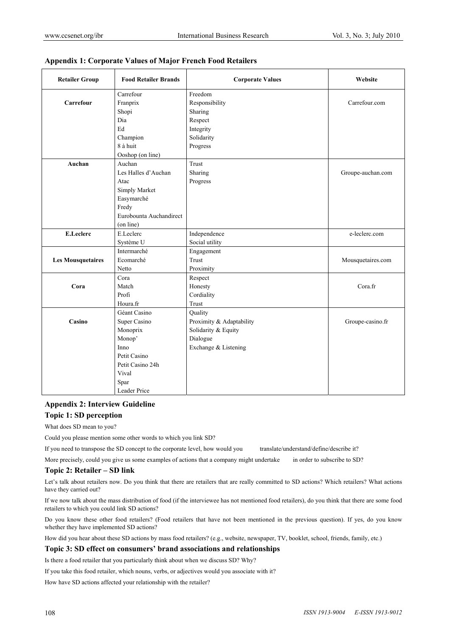| <b>Retailer Group</b>    | <b>Food Retailer Brands</b> | <b>Corporate Values</b>  | Website           |
|--------------------------|-----------------------------|--------------------------|-------------------|
|                          | Carrefour                   | Freedom                  |                   |
| Carrefour                | Franprix                    | Responsibility           | Carrefour.com     |
|                          | Shopi                       | Sharing                  |                   |
|                          | Dia                         | Respect                  |                   |
|                          | $\operatorname{Ed}$         | Integrity                |                   |
|                          | Champion                    | Solidarity               |                   |
|                          | 8 à huit                    | Progress                 |                   |
|                          | Ooshop (on line)            |                          |                   |
| Auchan                   | Auchan                      | Trust                    |                   |
|                          | Les Halles d'Auchan         | Sharing                  | Groupe-auchan.com |
|                          | Atac                        | Progress                 |                   |
|                          | Simply Market               |                          |                   |
|                          | Easymarché                  |                          |                   |
|                          | Fredy                       |                          |                   |
|                          | Eurobounta Auchandirect     |                          |                   |
|                          | (on line)                   |                          |                   |
| E.Leclerc                | E.Leclerc                   | Independence             | e-leclerc.com     |
|                          | Système U                   | Social utility           |                   |
|                          | Intermarché                 | Engagement               |                   |
| <b>Les Mousquetaires</b> | Ecomarché                   | Trust                    | Mousquetaires.com |
|                          | Netto                       | Proximity                |                   |
|                          | Cora                        | Respect                  |                   |
| Cora                     | Match                       | Honesty                  | Cora.fr           |
|                          | Profi                       | Cordiality               |                   |
|                          | Houra.fr                    | Trust                    |                   |
|                          | Géant Casino                | Quality                  |                   |
| Casino                   | Super Casino                | Proximity & Adaptability | Groupe-casino.fr  |
|                          | Monoprix                    | Solidarity & Equity      |                   |
|                          | Monop'                      | Dialogue                 |                   |
|                          | Inno                        | Exchange & Listening     |                   |
|                          | Petit Casino                |                          |                   |
|                          | Petit Casino 24h            |                          |                   |
|                          | Vival                       |                          |                   |
|                          | Spar                        |                          |                   |
|                          | Leader Price                |                          |                   |

## **Appendix 1: Corporate Values of Major French Food Retailers**

## **Appendix 2: Interview Guideline**

#### **Topic 1: SD perception**

What does SD mean to you?

Could you please mention some other words to which you link SD?

If you need to transpose the SD concept to the corporate level, how would you translate/understand/define/describe it?

More precisely, could you give us some examples of actions that a company might undertake in order to subscribe to SD?

#### **Topic 2: Retailer – SD link**

Let's talk about retailers now. Do you think that there are retailers that are really committed to SD actions? Which retailers? What actions have they carried out?

If we now talk about the mass distribution of food (if the interviewee has not mentioned food retailers), do you think that there are some food retailers to which you could link SD actions?

Do you know these other food retailers? (Food retailers that have not been mentioned in the previous question). If yes, do you know whether they have implemented SD actions?

How did you hear about these SD actions by mass food retailers? (e.g., website, newspaper, TV, booklet, school, friends, family, etc.)

## **Topic 3: SD effect on consumers' brand associations and relationships**

Is there a food retailer that you particularly think about when we discuss SD? Why?

If you take this food retailer, which nouns, verbs, or adjectives would you associate with it?

How have SD actions affected your relationship with the retailer?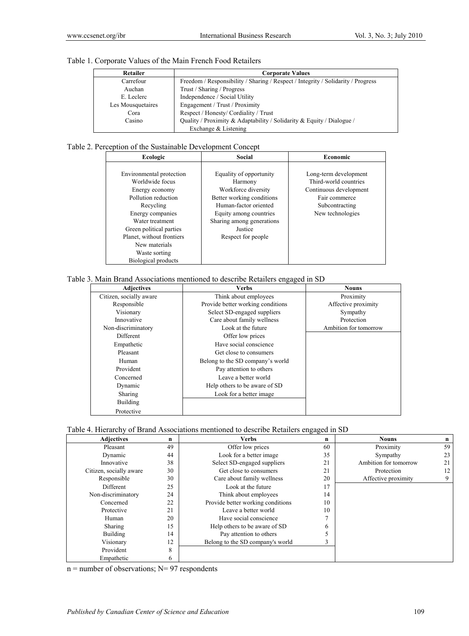| Table 1. Corporate Values of the Main French Food Retailers |  |  |  |  |
|-------------------------------------------------------------|--|--|--|--|
|-------------------------------------------------------------|--|--|--|--|

| Retailer          | <b>Corporate Values</b>                                                          |
|-------------------|----------------------------------------------------------------------------------|
| Carrefour         | Freedom / Responsibility / Sharing / Respect / Integrity / Solidarity / Progress |
| Auchan            | Trust / Sharing / Progress                                                       |
| E. Leclerc        | Independence / Social Utility                                                    |
| Les Mousquetaires | Engagement / Trust / Proximity                                                   |
| Cora              | Respect / Honesty/ Cordiality / Trust                                            |
| Casino            | Quality / Proximity & Adaptability / Solidarity & Equity / Dialogue /            |
|                   | Exchange & Listening                                                             |

# Table 2. Perception of the Sustainable Development Concept

| Ecologic                                    | <b>Social</b>                                       | Economic                                       |
|---------------------------------------------|-----------------------------------------------------|------------------------------------------------|
| Environmental protection<br>Worldwide focus | Equality of opportunity<br>Harmony                  | Long-term development<br>Third-world countries |
| Energy economy<br>Pollution reduction       | Workforce diversity<br>Better working conditions    | Continuous development<br>Fair commerce        |
| Recycling                                   | Human-factor oriented                               | Subcontracting                                 |
| Energy companies<br>Water treatment         | Equity among countries<br>Sharing among generations | New technologies                               |
| Green political parties                     | Justice                                             |                                                |
| Planet, without frontiers                   | Respect for people                                  |                                                |
| New materials<br>Waste sorting              |                                                     |                                                |
| Biological products                         |                                                     |                                                |

# Table 3. Main Brand Associations mentioned to describe Retailers engaged in SD

| <b>Adjectives</b>       | <b>Verbs</b>                      | <b>Nouns</b>          |
|-------------------------|-----------------------------------|-----------------------|
| Citizen, socially aware | Think about employees             | Proximity             |
| Responsible             | Provide better working conditions | Affective proximity   |
| Visionary               | Select SD-engaged suppliers       | Sympathy              |
| Innovative              | Care about family wellness        | Protection            |
| Non-discriminatory      | Look at the future                | Ambition for tomorrow |
| <b>Different</b>        | Offer low prices                  |                       |
| Empathetic              | Have social conscience            |                       |
| Pleasant                | Get close to consumers            |                       |
| Human                   | Belong to the SD company's world  |                       |
| Provident               | Pay attention to others           |                       |
| Concerned               | Leave a better world              |                       |
| Dynamic                 | Help others to be aware of SD     |                       |
| Sharing                 | Look for a better image           |                       |
| Building                |                                   |                       |
| Protective              |                                   |                       |

#### Table 4. Hierarchy of Brand Associations mentioned to describe Retailers engaged in SD

| <b>Adjectives</b>       | n  | <b>Verbs</b>                      | $\mathbf n$ | <b>Nouns</b>          | n  |
|-------------------------|----|-----------------------------------|-------------|-----------------------|----|
| Pleasant                | 49 | Offer low prices                  | 60          | Proximity             | 59 |
| Dynamic                 | 44 | Look for a better image           | 35          | Sympathy              | 23 |
| Innovative              | 38 | Select SD-engaged suppliers       | 21          | Ambition for tomorrow | 21 |
| Citizen, socially aware | 30 | Get close to consumers            | 21          | Protection            | 12 |
| Responsible             | 30 | Care about family wellness        | 20          | Affective proximity   | 9  |
| Different               | 25 | Look at the future                | 17          |                       |    |
| Non-discriminatory      | 24 | Think about employees             | 14          |                       |    |
| Concerned               | 22 | Provide better working conditions | 10          |                       |    |
| Protective              | 21 | Leave a better world              | 10          |                       |    |
| Human                   | 20 | Have social conscience            | ┑           |                       |    |
| Sharing                 | 15 | Help others to be aware of SD     | 6           |                       |    |
| Building                | 14 | Pay attention to others           |             |                       |    |
| Visionary               | 12 | Belong to the SD company's world  | 3           |                       |    |
| Provident               | 8  |                                   |             |                       |    |
| Empathetic              | 6  |                                   |             |                       |    |

 $n =$  number of observations;  $N = 97$  respondents